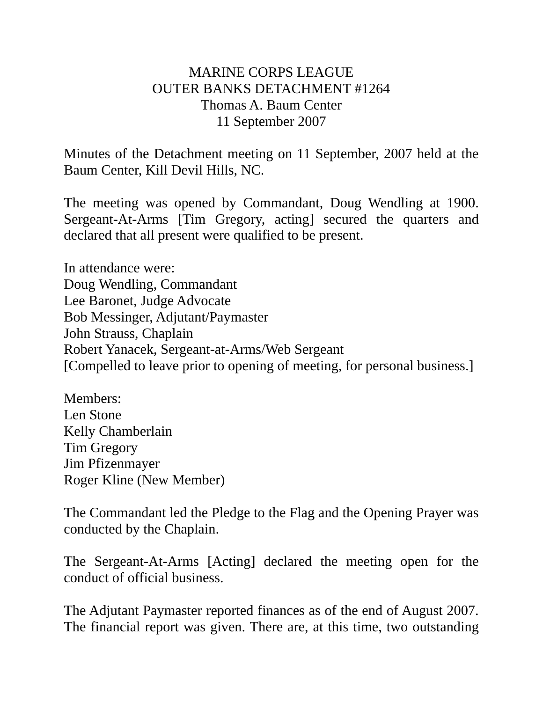## MARINE CORPS LEAGUE OUTER BANKS DETACHMENT #1264 Thomas A. Baum Center 11 September 2007

Minutes of the Detachment meeting on 11 September, 2007 held at the Baum Center, Kill Devil Hills, NC.

The meeting was opened by Commandant, Doug Wendling at 1900. Sergeant-At-Arms [Tim Gregory, acting] secured the quarters and declared that all present were qualified to be present.

In attendance were: Doug Wendling, Commandant Lee Baronet, Judge Advocate Bob Messinger, Adjutant/Paymaster John Strauss, Chaplain Robert Yanacek, Sergeant-at-Arms/Web Sergeant [Compelled to leave prior to opening of meeting, for personal business.]

Members: Len Stone Kelly Chamberlain Tim Gregory Jim Pfizenmayer Roger Kline (New Member)

The Commandant led the Pledge to the Flag and the Opening Prayer was conducted by the Chaplain.

The Sergeant-At-Arms [Acting] declared the meeting open for the conduct of official business.

The Adjutant Paymaster reported finances as of the end of August 2007. The financial report was given. There are, at this time, two outstanding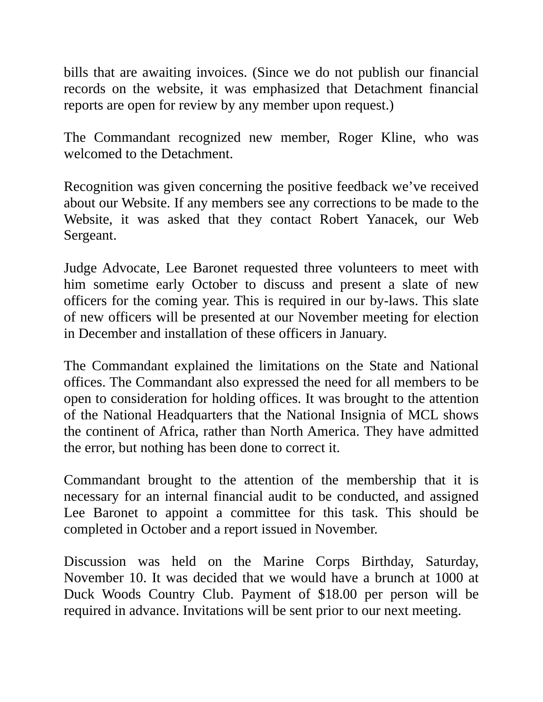bills that are awaiting invoices. (Since we do not publish our financial records on the website, it was emphasized that Detachment financial reports are open for review by any member upon request.)

The Commandant recognized new member, Roger Kline, who was welcomed to the Detachment.

Recognition was given concerning the positive feedback we've received about our Website. If any members see any corrections to be made to the Website, it was asked that they contact Robert Yanacek, our Web Sergeant.

Judge Advocate, Lee Baronet requested three volunteers to meet with him sometime early October to discuss and present a slate of new officers for the coming year. This is required in our by-laws. This slate of new officers will be presented at our November meeting for election in December and installation of these officers in January.

The Commandant explained the limitations on the State and National offices. The Commandant also expressed the need for all members to be open to consideration for holding offices. It was brought to the attention of the National Headquarters that the National Insignia of MCL shows the continent of Africa, rather than North America. They have admitted the error, but nothing has been done to correct it.

Commandant brought to the attention of the membership that it is necessary for an internal financial audit to be conducted, and assigned Lee Baronet to appoint a committee for this task. This should be completed in October and a report issued in November.

Discussion was held on the Marine Corps Birthday, Saturday, November 10. It was decided that we would have a brunch at 1000 at Duck Woods Country Club. Payment of \$18.00 per person will be required in advance. Invitations will be sent prior to our next meeting.